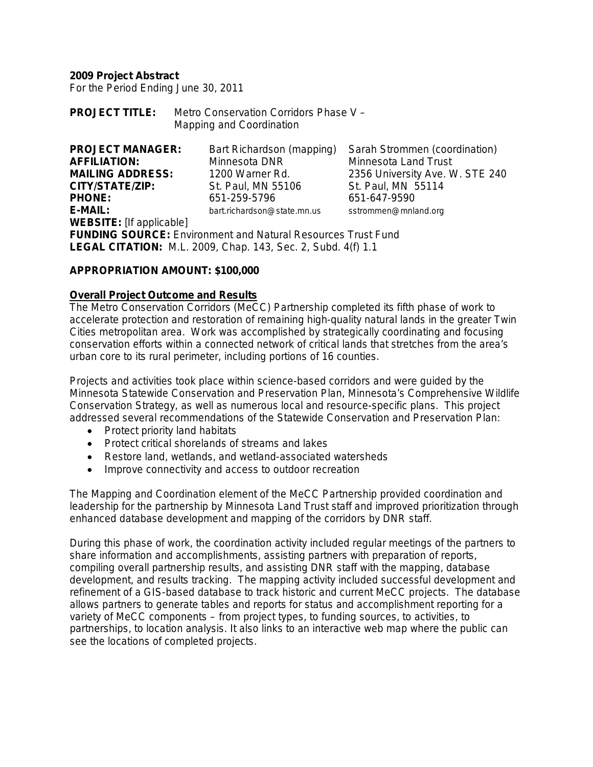**2009 Project Abstract**

For the Period Ending June 30, 2011

**PROJECT TITLE:** Metro Conservation Corridors Phase V – Mapping and Coordination

| <b>PROJECT MANAGER:</b><br>Bart Richardson (mapping)                |                                                                     | Sarah Strommen (coordination)   |  |  |  |  |
|---------------------------------------------------------------------|---------------------------------------------------------------------|---------------------------------|--|--|--|--|
| <b>AFFILIATION:</b>                                                 | Minnesota DNR                                                       | <b>Minnesota Land Trust</b>     |  |  |  |  |
| <b>MAILING ADDRESS:</b>                                             | 1200 Warner Rd.                                                     | 2356 University Ave. W. STE 240 |  |  |  |  |
| CITY/STATE/ZIP:                                                     | St. Paul, MN 55106                                                  | St. Paul, MN 55114              |  |  |  |  |
| <b>PHONE:</b>                                                       | 651-259-5796                                                        | 651-647-9590                    |  |  |  |  |
| E-MAIL:                                                             | bart.richardson@state.mn.us                                         | sstrommen@mnland.org            |  |  |  |  |
| <b>WEBSITE:</b> [If applicable]                                     |                                                                     |                                 |  |  |  |  |
| <b>FUNDING SOURCE:</b> Environment and Natural Resources Trust Fund |                                                                     |                                 |  |  |  |  |
|                                                                     | <b>LEGAL CITATION:</b> M.L. 2009, Chap. 143, Sec. 2, Subd. 4(f) 1.1 |                                 |  |  |  |  |

#### **APPROPRIATION AMOUNT: \$100,000**

#### **Overall Project Outcome and Results**

The Metro Conservation Corridors (MeCC) Partnership completed its fifth phase of work to accelerate protection and restoration of remaining high-quality natural lands in the greater Twin Cities metropolitan area. Work was accomplished by strategically coordinating and focusing conservation efforts within a connected network of critical lands that stretches from the area's urban core to its rural perimeter, including portions of 16 counties.

Projects and activities took place within science-based corridors and were guided by the Minnesota Statewide Conservation and Preservation Plan, Minnesota's Comprehensive Wildlife Conservation Strategy, as well as numerous local and resource-specific plans. This project addressed several recommendations of the Statewide Conservation and Preservation Plan:

- Protect priority land habitats
- Protect critical shorelands of streams and lakes
- Restore land, wetlands, and wetland-associated watersheds
- Improve connectivity and access to outdoor recreation

The Mapping and Coordination element of the MeCC Partnership provided coordination and leadership for the partnership by Minnesota Land Trust staff and improved prioritization through enhanced database development and mapping of the corridors by DNR staff.

During this phase of work, the coordination activity included regular meetings of the partners to share information and accomplishments, assisting partners with preparation of reports, compiling overall partnership results, and assisting DNR staff with the mapping, database development, and results tracking. The mapping activity included successful development and refinement of a GIS-based database to track historic and current MeCC projects. The database allows partners to generate tables and reports for status and accomplishment reporting for a variety of MeCC components – from project types, to funding sources, to activities, to partnerships, to location analysis. It also links to an interactive web map where the public can see the locations of completed projects.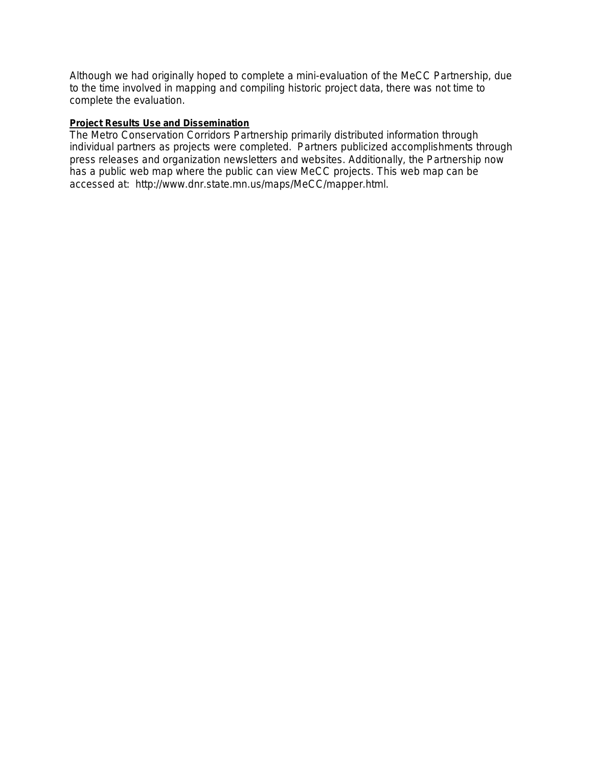Although we had originally hoped to complete a mini-evaluation of the MeCC Partnership, due to the time involved in mapping and compiling historic project data, there was not time to complete the evaluation.

#### **Project Results Use and Dissemination**

The Metro Conservation Corridors Partnership primarily distributed information through individual partners as projects were completed. Partners publicized accomplishments through press releases and organization newsletters and websites. Additionally, the Partnership now has a public web map where the public can view MeCC projects. This web map can be accessed at: http://www.dnr.state.mn.us/maps/MeCC/mapper.html.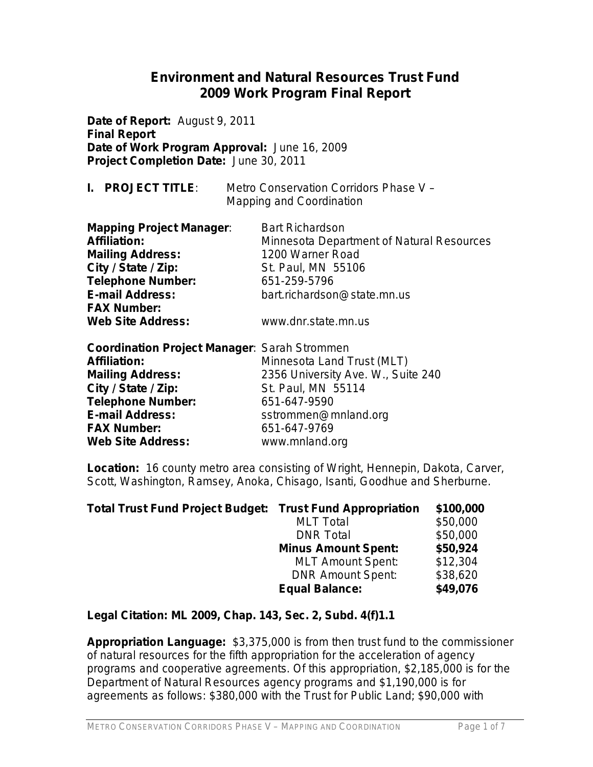# **Environment and Natural Resources Trust Fund 2009 Work Program Final Report**

**Date of Report:** August 9, 2011 **Final Report Date of Work Program Approval:** June 16, 2009 **Project Completion Date:** June 30, 2011

| <b>PROJECT TITLE:</b> | Metro Conservation Corridors Phase V - |
|-----------------------|----------------------------------------|
|                       | <b>Mapping and Coordination</b>        |

| <b>Mapping Project Manager:</b><br><b>Affiliation:</b> | <b>Bart Richardson</b><br>Minnesota Department of Natural Resources |
|--------------------------------------------------------|---------------------------------------------------------------------|
|                                                        |                                                                     |
| <b>Mailing Address:</b>                                | 1200 Warner Road                                                    |
| City / State / Zip:                                    | St. Paul, MN 55106                                                  |
| <b>Telephone Number:</b>                               | 651-259-5796                                                        |
| <b>E-mail Address:</b>                                 | bart.richardson@state.mn.us                                         |
| <b>FAX Number:</b>                                     |                                                                     |
| <b>Web Site Address:</b>                               | www.dnr.state.mn.us                                                 |

| <b>Coordination Project Manager: Sarah Strommen</b> |                                    |
|-----------------------------------------------------|------------------------------------|
| <b>Affiliation:</b>                                 | Minnesota Land Trust (MLT)         |
| <b>Mailing Address:</b>                             | 2356 University Ave. W., Suite 240 |
| City / State / Zip:                                 | St. Paul, MN 55114                 |
| <b>Telephone Number:</b>                            | 651-647-9590                       |
| <b>E-mail Address:</b>                              | sstrommen@mnland.org               |
| <b>FAX Number:</b>                                  | 651-647-9769                       |
| <b>Web Site Address:</b>                            | www.mnland.org                     |

**Location:**16 county metro area consisting of Wright, Hennepin, Dakota, Carver, Scott, Washington, Ramsey, Anoka, Chisago, Isanti, Goodhue and Sherburne.

| <b>Total Trust Fund Project Budget: Trust Fund Appropriation</b> |                            | \$100,000 |
|------------------------------------------------------------------|----------------------------|-----------|
|                                                                  | <b>MLT</b> Total           | \$50,000  |
|                                                                  | <b>DNR Total</b>           | \$50,000  |
|                                                                  | <b>Minus Amount Spent:</b> | \$50,924  |
|                                                                  | <b>MLT Amount Spent:</b>   | \$12,304  |
|                                                                  | <b>DNR Amount Spent:</b>   | \$38,620  |
|                                                                  | <b>Equal Balance:</b>      | \$49,076  |

#### **Legal Citation: ML 2009, Chap. 143, Sec. 2, Subd. 4(f)1.1**

**Appropriation Language:** \$3,375,000 is from then trust fund to the commissioner of natural resources for the fifth appropriation for the acceleration of agency programs and cooperative agreements. Of this appropriation, \$2,185,000 is for the Department of Natural Resources agency programs and \$1,190,000 is for agreements as follows: \$380,000 with the Trust for Public Land; \$90,000 with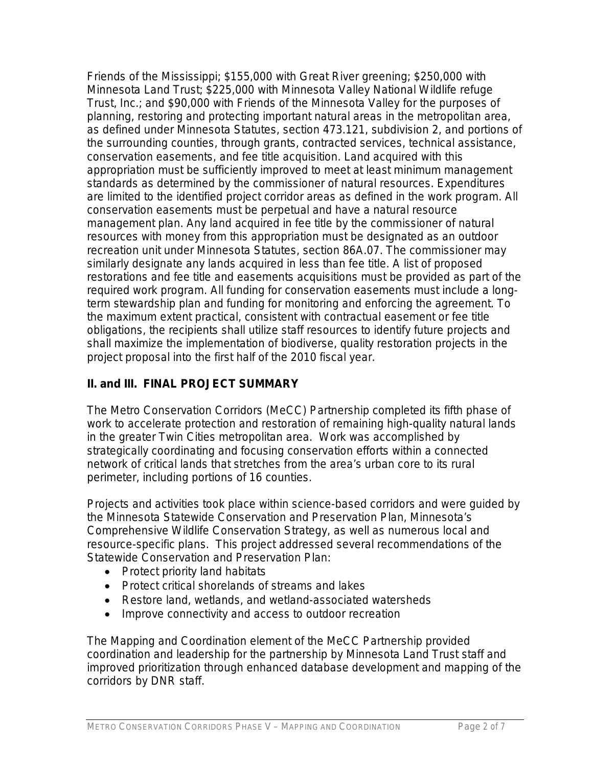Friends of the Mississippi; \$155,000 with Great River greening; \$250,000 with Minnesota Land Trust; \$225,000 with Minnesota Valley National Wildlife refuge Trust, Inc.; and \$90,000 with Friends of the Minnesota Valley for the purposes of planning, restoring and protecting important natural areas in the metropolitan area, as defined under Minnesota Statutes, section 473.121, subdivision 2, and portions of the surrounding counties, through grants, contracted services, technical assistance, conservation easements, and fee title acquisition. Land acquired with this appropriation must be sufficiently improved to meet at least minimum management standards as determined by the commissioner of natural resources. Expenditures are limited to the identified project corridor areas as defined in the work program. All conservation easements must be perpetual and have a natural resource management plan. Any land acquired in fee title by the commissioner of natural resources with money from this appropriation must be designated as an outdoor recreation unit under Minnesota Statutes, section 86A.07. The commissioner may similarly designate any lands acquired in less than fee title. A list of proposed restorations and fee title and easements acquisitions must be provided as part of the required work program. All funding for conservation easements must include a longterm stewardship plan and funding for monitoring and enforcing the agreement. To the maximum extent practical, consistent with contractual easement or fee title obligations, the recipients shall utilize staff resources to identify future projects and shall maximize the implementation of biodiverse, quality restoration projects in the project proposal into the first half of the 2010 fiscal year.

### **II. and III. FINAL PROJECT SUMMARY**

The Metro Conservation Corridors (MeCC) Partnership completed its fifth phase of work to accelerate protection and restoration of remaining high-quality natural lands in the greater Twin Cities metropolitan area. Work was accomplished by strategically coordinating and focusing conservation efforts within a connected network of critical lands that stretches from the area's urban core to its rural perimeter, including portions of 16 counties.

Projects and activities took place within science-based corridors and were guided by the Minnesota Statewide Conservation and Preservation Plan, Minnesota's Comprehensive Wildlife Conservation Strategy, as well as numerous local and resource-specific plans. This project addressed several recommendations of the Statewide Conservation and Preservation Plan:

- Protect priority land habitats
- Protect critical shorelands of streams and lakes
- Restore land, wetlands, and wetland-associated watersheds
- Improve connectivity and access to outdoor recreation

The Mapping and Coordination element of the MeCC Partnership provided coordination and leadership for the partnership by Minnesota Land Trust staff and improved prioritization through enhanced database development and mapping of the corridors by DNR staff.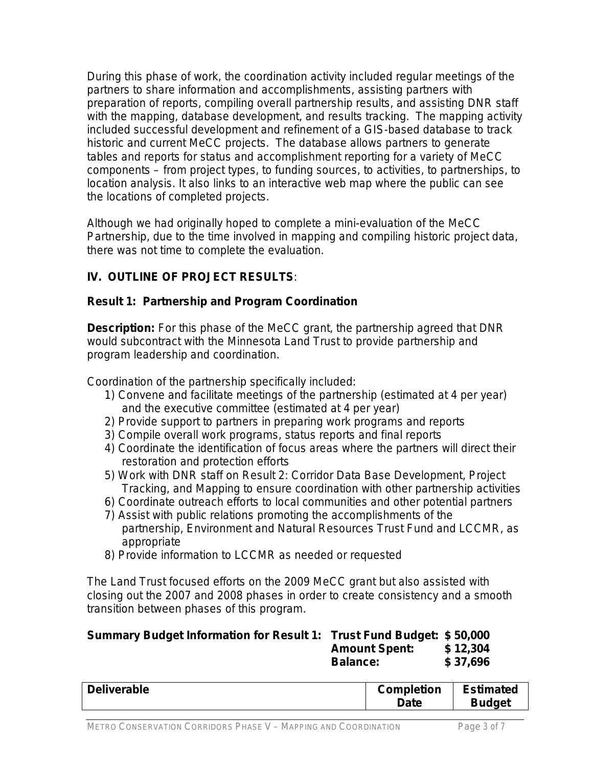During this phase of work, the coordination activity included regular meetings of the partners to share information and accomplishments, assisting partners with preparation of reports, compiling overall partnership results, and assisting DNR staff with the mapping, database development, and results tracking. The mapping activity included successful development and refinement of a GIS-based database to track historic and current MeCC projects. The database allows partners to generate tables and reports for status and accomplishment reporting for a variety of MeCC components – from project types, to funding sources, to activities, to partnerships, to location analysis. It also links to an interactive web map where the public can see the locations of completed projects.

Although we had originally hoped to complete a mini-evaluation of the MeCC Partnership, due to the time involved in mapping and compiling historic project data, there was not time to complete the evaluation.

# **IV. OUTLINE OF PROJECT RESULTS***:*

## **Result 1: Partnership and Program Coordination**

**Description:** For this phase of the MeCC grant, the partnership agreed that DNR would subcontract with the Minnesota Land Trust to provide partnership and program leadership and coordination.

Coordination of the partnership specifically included:

- 1) Convene and facilitate meetings of the partnership (estimated at 4 per year) and the executive committee (estimated at 4 per year)
- 2) Provide support to partners in preparing work programs and reports
- 3) Compile overall work programs, status reports and final reports
- 4) Coordinate the identification of focus areas where the partners will direct their restoration and protection efforts
- 5) Work with DNR staff on Result 2: Corridor Data Base Development, Project Tracking, and Mapping to ensure coordination with other partnership activities
- 6) Coordinate outreach efforts to local communities and other potential partners
- 7) Assist with public relations promoting the accomplishments of the partnership, Environment and Natural Resources Trust Fund and LCCMR, as appropriate
- 8) Provide information to LCCMR as needed or requested

The Land Trust focused efforts on the 2009 MeCC grant but also assisted with closing out the 2007 and 2008 phases in order to create consistency and a smooth transition between phases of this program.

| Summary Budget Information for Result 1: Trust Fund Budget: \$50,000 |                      |          |
|----------------------------------------------------------------------|----------------------|----------|
|                                                                      | <b>Amount Spent:</b> | \$12,304 |
|                                                                      | <b>Balance:</b>      | \$37.696 |

| <b>Deliverable</b> | <b>Completion</b> | <b>Estimated</b> |  |
|--------------------|-------------------|------------------|--|
|                    | Date              | <b>Budget</b>    |  |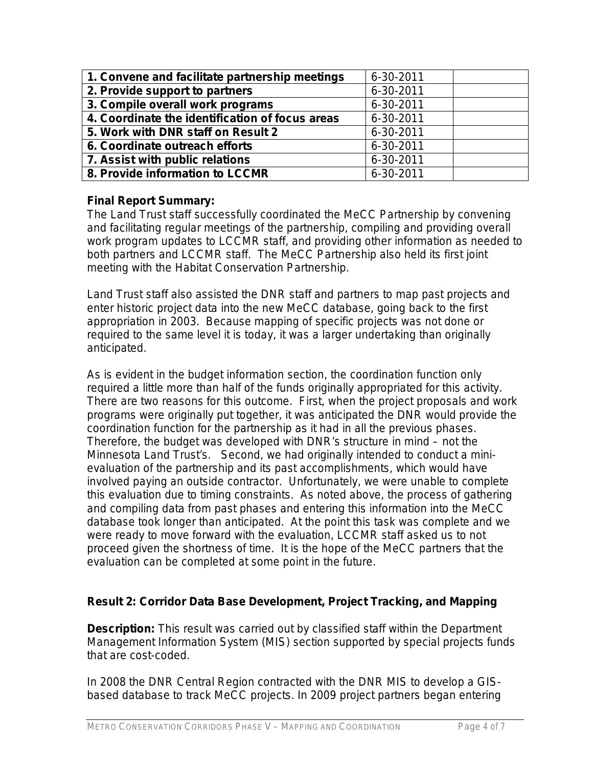| 1. Convene and facilitate partnership meetings  | 6-30-2011 |
|-------------------------------------------------|-----------|
| 2. Provide support to partners                  | 6-30-2011 |
| 3. Compile overall work programs                | 6-30-2011 |
| 4. Coordinate the identification of focus areas | 6-30-2011 |
| 5. Work with DNR staff on Result 2              | 6-30-2011 |
| 6. Coordinate outreach efforts                  | 6-30-2011 |
| 7. Assist with public relations                 | 6-30-2011 |
| 8. Provide information to LCCMR                 | 6-30-2011 |

#### **Final Report Summary:**

The Land Trust staff successfully coordinated the MeCC Partnership by convening and facilitating regular meetings of the partnership, compiling and providing overall work program updates to LCCMR staff, and providing other information as needed to both partners and LCCMR staff. The MeCC Partnership also held its first joint meeting with the Habitat Conservation Partnership.

Land Trust staff also assisted the DNR staff and partners to map past projects and enter historic project data into the new MeCC database, going back to the first appropriation in 2003. Because mapping of specific projects was not done or required to the same level it is today, it was a larger undertaking than originally anticipated.

As is evident in the budget information section, the coordination function only required a little more than half of the funds originally appropriated for this activity. There are two reasons for this outcome. First, when the project proposals and work programs were originally put together, it was anticipated the DNR would provide the coordination function for the partnership as it had in all the previous phases. Therefore, the budget was developed with DNR's structure in mind – not the Minnesota Land Trust's. Second, we had originally intended to conduct a minievaluation of the partnership and its past accomplishments, which would have involved paying an outside contractor. Unfortunately, we were unable to complete this evaluation due to timing constraints. As noted above, the process of gathering and compiling data from past phases and entering this information into the MeCC database took longer than anticipated. At the point this task was complete and we were ready to move forward with the evaluation, LCCMR staff asked us to not proceed given the shortness of time. It is the hope of the MeCC partners that the evaluation can be completed at some point in the future.

## **Result 2: Corridor Data Base Development, Project Tracking, and Mapping**

**Description:** This result was carried out by classified staff within the Department Management Information System (MIS) section supported by special projects funds that are cost-coded.

In 2008 the DNR Central Region contracted with the DNR MIS to develop a GISbased database to track MeCC projects. In 2009 project partners began entering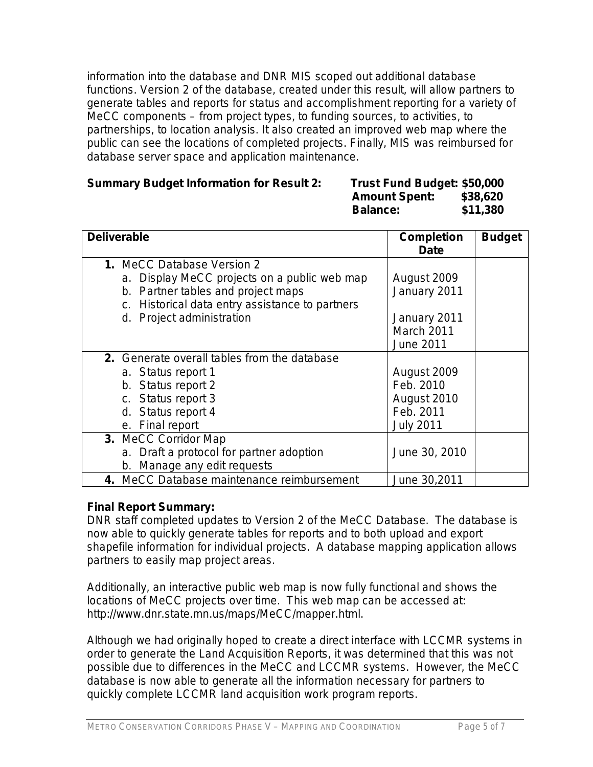information into the database and DNR MIS scoped out additional database functions. Version 2 of the database, created under this result, will allow partners to generate tables and reports for status and accomplishment reporting for a variety of MeCC components – from project types, to funding sources, to activities, to partnerships, to location analysis. It also created an improved web map where the public can see the locations of completed projects. Finally, MIS was reimbursed for database server space and application maintenance.

#### **Summary Budget Information for Result 2:**

| <b>Summary Budget Information for Result 2:</b> | Trust Fund Budget: \$50,000 |          |
|-------------------------------------------------|-----------------------------|----------|
|                                                 | <b>Amount Spent:</b>        | \$38,620 |
|                                                 | <b>Balance:</b>             | \$11,380 |

| <b>Deliverable</b>                                                                                                                                                                                      | <b>Completion</b><br><b>Date</b>                                              | <b>Budget</b> |
|---------------------------------------------------------------------------------------------------------------------------------------------------------------------------------------------------------|-------------------------------------------------------------------------------|---------------|
| <b>1. MeCC Database Version 2</b><br>a. Display MeCC projects on a public web map<br>b. Partner tables and project maps<br>c. Historical data entry assistance to partners<br>d. Project administration | August 2009<br>January 2011<br>January 2011<br>March 2011<br><b>June 2011</b> |               |
| 2. Generate overall tables from the database<br>a. Status report 1<br>b. Status report 2<br>c. Status report 3<br>d. Status report 4<br>e. Final report                                                 | August 2009<br>Feb. 2010<br>August 2010<br>Feb. 2011<br><b>July 2011</b>      |               |
| 3. MeCC Corridor Map<br>a. Draft a protocol for partner adoption<br>b. Manage any edit requests                                                                                                         | June 30, 2010                                                                 |               |
| 4. MeCC Database maintenance reimbursement                                                                                                                                                              | June 30,2011                                                                  |               |

#### **Final Report Summary:**

DNR staff completed updates to Version 2 of the MeCC Database. The database is now able to quickly generate tables for reports and to both upload and export shapefile information for individual projects. A database mapping application allows partners to easily map project areas.

Additionally, an interactive public web map is now fully functional and shows the locations of MeCC projects over time. This web map can be accessed at: http://www.dnr.state.mn.us/maps/MeCC/mapper.html.

Although we had originally hoped to create a direct interface with LCCMR systems in order to generate the Land Acquisition Reports, it was determined that this was not possible due to differences in the MeCC and LCCMR systems. However, the MeCC database is now able to generate all the information necessary for partners to quickly complete LCCMR land acquisition work program reports.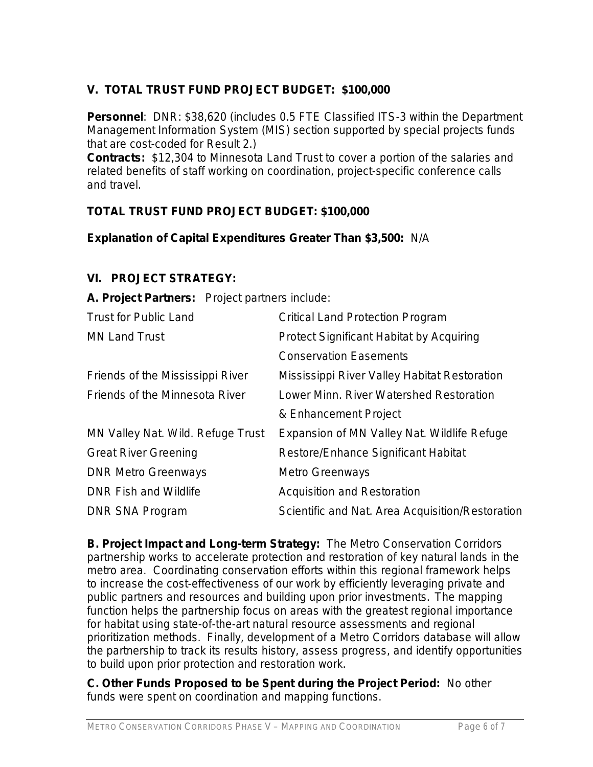# **V. TOTAL TRUST FUND PROJECT BUDGET:****\$100,000**

**Personnel**: DNR: \$38,620 (includes 0.5 FTE Classified ITS-3 within the Department Management Information System (MIS) section supported by special projects funds that are cost-coded for Result 2.)

**Contracts:** \$12,304 to Minnesota Land Trust to cover a portion of the salaries and related benefits of staff working on coordination, project-specific conference calls and travel.

## **TOTAL TRUST FUND PROJECT BUDGET: \$100,000**

**Explanation of Capital Expenditures Greater Than \$3,500:** N/A

#### **VI. PROJECT STRATEGY:**

**A. Project Partners:** Project partners include:

| <b>Trust for Public Land</b>      | <b>Critical Land Protection Program</b>          |
|-----------------------------------|--------------------------------------------------|
| <b>MN Land Trust</b>              | <b>Protect Significant Habitat by Acquiring</b>  |
|                                   | <b>Conservation Easements</b>                    |
| Friends of the Mississippi River  | Mississippi River Valley Habitat Restoration     |
| Friends of the Minnesota River    | Lower Minn. River Watershed Restoration          |
|                                   | & Enhancement Project                            |
| MN Valley Nat. Wild. Refuge Trust | Expansion of MN Valley Nat. Wildlife Refuge      |
| <b>Great River Greening</b>       | <b>Restore/Enhance Significant Habitat</b>       |
| <b>DNR Metro Greenways</b>        | <b>Metro Greenways</b>                           |
| <b>DNR Fish and Wildlife</b>      | <b>Acquisition and Restoration</b>               |
| <b>DNR SNA Program</b>            | Scientific and Nat. Area Acquisition/Restoration |
|                                   |                                                  |

**B. Project Impact and Long-term Strategy:** The Metro Conservation Corridors partnership works to accelerate protection and restoration of key natural lands in the metro area. Coordinating conservation efforts within this regional framework helps to increase the cost-effectiveness of our work by efficiently leveraging private and public partners and resources and building upon prior investments. The mapping function helps the partnership focus on areas with the greatest regional importance for habitat using state-of-the-art natural resource assessments and regional prioritization methods. Finally, development of a Metro Corridors database will allow the partnership to track its results history, assess progress, and identify opportunities to build upon prior protection and restoration work.

**C. Other Funds Proposed to be Spent during the Project Period:** No other funds were spent on coordination and mapping functions.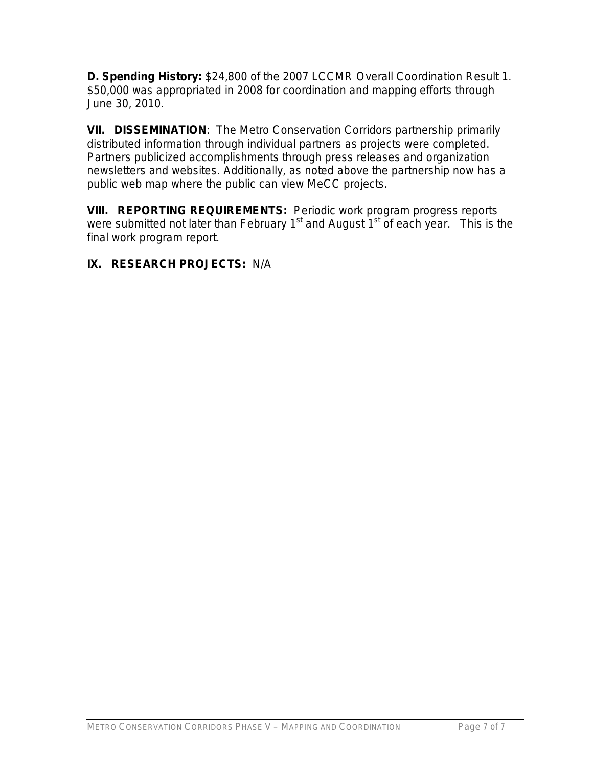**D. Spending History:** \$24,800 of the 2007 LCCMR Overall Coordination Result 1. \$50,000 was appropriated in 2008 for coordination and mapping efforts through June 30, 2010.

**VII. DISSEMINATION**:The Metro Conservation Corridors partnership primarily distributed information through individual partners as projects were completed. Partners publicized accomplishments through press releases and organization newsletters and websites. Additionally, as noted above the partnership now has a public web map where the public can view MeCC projects.

**VIII. REPORTING REQUIREMENTS:** Periodic work program progress reports were submitted not later than February  $1<sup>st</sup>$  and August  $1<sup>st</sup>$  of each year. This is the final work program report.

## **IX. RESEARCH PROJECTS:** N/A